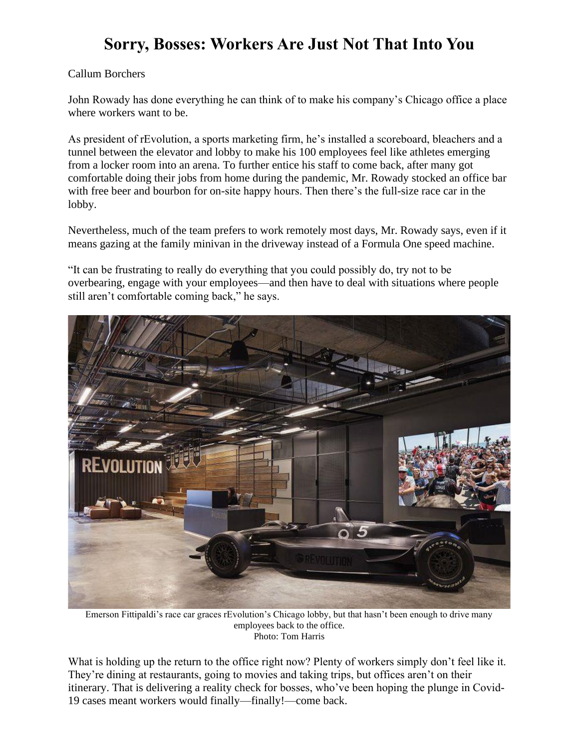## **Sorry, Bosses: Workers Are Just Not That Into You**

## Callum Borchers

John Rowady has done everything he can think of to make his company's Chicago office a place where workers want to be.

As president of rEvolution, a sports marketing firm, he's installed a scoreboard, bleachers and a tunnel between the elevator and lobby to make his 100 employees feel like athletes emerging from a locker room into an arena. To further entice his staff to come back, after many got comfortable doing their jobs from home during the pandemic, Mr. Rowady stocked an office bar with free beer and bourbon for on-site happy hours. Then there's the full-size race car in the lobby.

Nevertheless, much of the team prefers to work remotely most days, Mr. Rowady says, even if it means gazing at the family minivan in the driveway instead of a Formula One speed machine.

"It can be frustrating to really do everything that you could possibly do, try not to be overbearing, engage with your employees—and then have to deal with situations where people still aren't comfortable coming back," he says.



Emerson Fittipaldi's race car graces rEvolution's Chicago lobby, but that hasn't been enough to drive many employees back to the office. Photo: Tom Harris

What is holding up the return to the office right now? Plenty of workers simply don't feel like it. They're dining at restaurants, going to movies and taking trips, but offices aren't on their itinerary. That is delivering a reality check for bosses, who've been hoping the plunge in Covid-19 cases meant workers would finally—finally!—come back.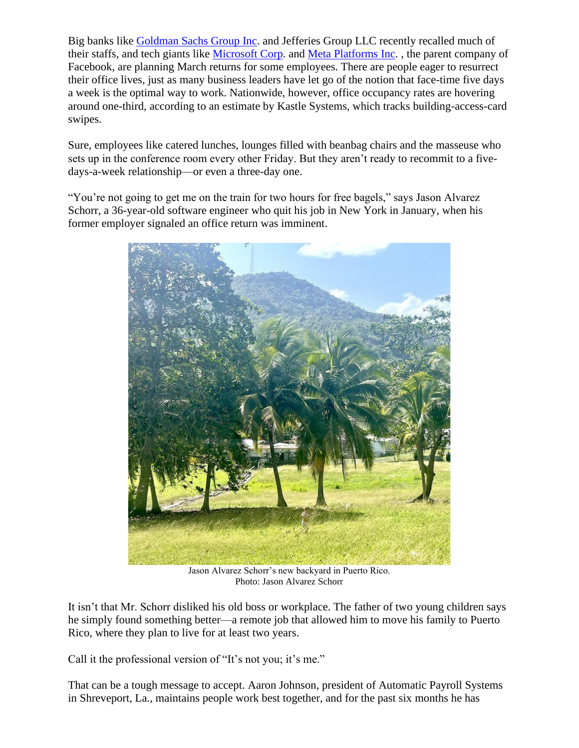Big banks like [Goldman Sachs Group Inc.](https://www.wsj.com/market-data/quotes/GS) and Jefferies Group LLC recently recalled much of their staffs, and tech giants like [Microsoft Corp.](https://www.wsj.com/market-data/quotes/MSFT) and [Meta Platforms Inc.](https://www.wsj.com/market-data/quotes/FB) , the parent company of Facebook, are planning March returns for some employees. There are people eager to resurrect their office lives, just as many business leaders have let go of the notion that face-time five days a week is the optimal way to work. Nationwide, however, office occupancy rates are hovering around one-third, according to an estimate by Kastle Systems, which tracks building-access-card swipes.

Sure, employees like catered lunches, lounges filled with beanbag chairs and the masseuse who sets up in the conference room every other Friday. But they aren't ready to recommit to a fivedays-a-week relationship—or even a three-day one.

"You're not going to get me on the train for two hours for free bagels," says Jason Alvarez Schorr, a 36-year-old software engineer who quit his job in New York in January, when his former employer signaled an office return was imminent.



Jason Alvarez Schorr's new backyard in Puerto Rico. Photo: Jason Alvarez Schorr

It isn't that Mr. Schorr disliked his old boss or workplace. The father of two young children says he simply found something better—a remote job that allowed him to move his family to Puerto Rico, where they plan to live for at least two years.

Call it the professional version of "It's not you; it's me."

That can be a tough message to accept. Aaron Johnson, president of Automatic Payroll Systems in Shreveport, La., maintains people work best together, and for the past six months he has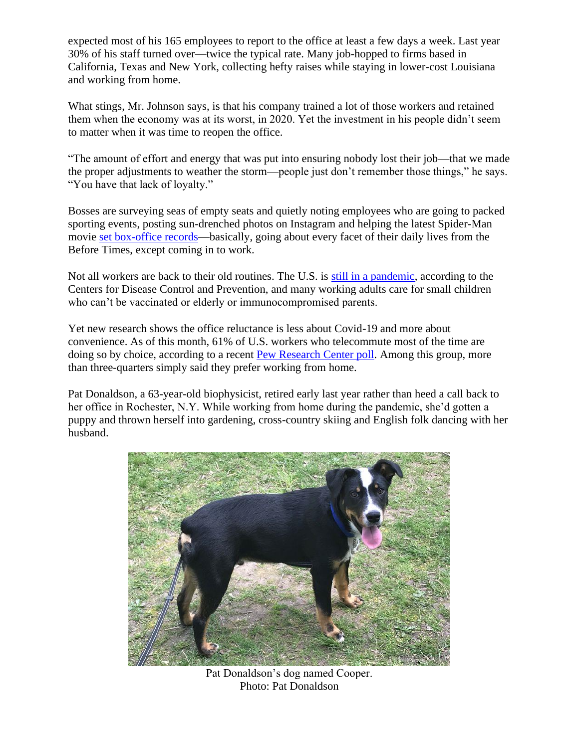expected most of his 165 employees to report to the office at least a few days a week. Last year 30% of his staff turned over—twice the typical rate. Many job-hopped to firms based in California, Texas and New York, collecting hefty raises while staying in lower-cost Louisiana and working from home.

What stings, Mr. Johnson says, is that his company trained a lot of those workers and retained them when the economy was at its worst, in 2020. Yet the investment in his people didn't seem to matter when it was time to reopen the office.

"The amount of effort and energy that was put into ensuring nobody lost their job—that we made the proper adjustments to weather the storm—people just don't remember those things," he says. "You have that lack of loyalty."

Bosses are surveying seas of empty seats and quietly noting employees who are going to packed sporting events, posting sun-drenched photos on Instagram and helping the latest Spider-Man movie [set box-office records—](https://www.wsj.com/articles/spider-man-no-way-home-swoops-in-with-a-pandemic-record-opening-11639944701?mod=article_inline)basically, going about every facet of their daily lives from the Before Times, except coming in to work.

Not all workers are back to their old routines. The U.S. is [still in a pandemic,](https://www.wsj.com/articles/fast-spreading-covid-19-omicron-type-revives-questions-about-opening-up-11645616471?mod=article_inline) according to the Centers for Disease Control and Prevention, and many working adults care for small children who can't be vaccinated or elderly or immunocompromised parents.

Yet new research shows the office reluctance is less about Covid-19 and more about convenience. As of this month, 61% of U.S. workers who telecommute most of the time are doing so by choice, according to a recent [Pew Research Center poll.](https://www.pewresearch.org/social-trends/2022/02/16/covid-19-pandemic-continues-to-reshape-work-in-america/) Among this group, more than three-quarters simply said they prefer working from home.

Pat Donaldson, a 63-year-old biophysicist, retired early last year rather than heed a call back to her office in Rochester, N.Y. While working from home during the pandemic, she'd gotten a puppy and thrown herself into gardening, cross-country skiing and English folk dancing with her husband.



Pat Donaldson's dog named Cooper. Photo: Pat Donaldson